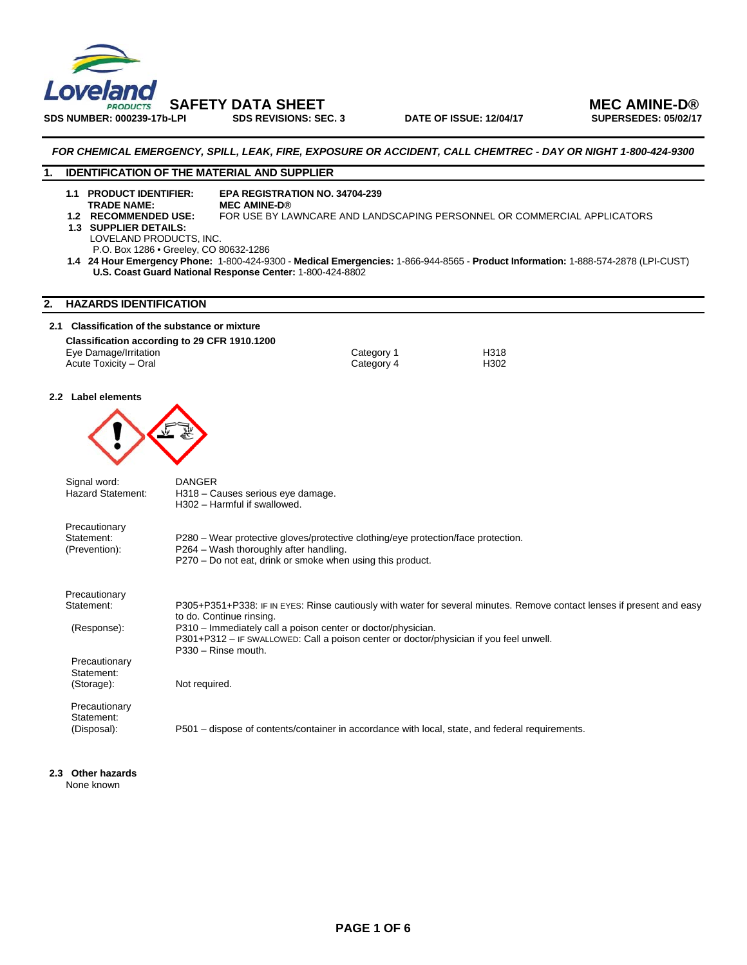

SDS NUMBER: 000239-17b-LPI SDS REVISIONS: SEC. 3 DATE OF ISSUE: 12/04/17

 **SAFETY DATA SHEET MEC AMINE-D®** 

#### *FOR CHEMICAL EMERGENCY, SPILL, LEAK, FIRE, EXPOSURE OR ACCIDENT, CALL CHEMTREC - DAY OR NIGHT 1-800-424-9300*

#### **1. IDENTIFICATION OF THE MATERIAL AND SUPPLIER**

**1.1 PRODUCT IDENTIFIER: EPA REGISTRATION NO. 34704-239** 

- **TRADE NAME:**<br>1.2 RECOMMENDED USE:
	- FOR USE BY LAWNCARE AND LANDSCAPING PERSONNEL OR COMMERCIAL APPLICATORS
- **1.3 SUPPLIER DETAILS:** 
	- LOVELAND PRODUCTS, INC.
	- P.O. Box 1286 Greeley, CO 80632-1286
- **1.4 24 Hour Emergency Phone:** 1-800-424-9300 **Medical Emergencies:** 1-866-944-8565 **Product Information:** 1-888-574-2878 (LPI-CUST) **U.S. Coast Guard National Response Center:** 1-800-424-8802

### **2. HAZARDS IDENTIFICATION**

#### **2.1 Classification of the substance or mixture Classification according to 29 CFR 1910.1200**

| Eye Damage/Irritation | Category 1 |
|-----------------------|------------|
| Acute Toxicity - Oral | Category 4 |

# Category 1 H318<br>Category 4 H302

#### **2.2 Label elements**



| Signal word:<br>Hazard Statement:            | <b>DANGER</b><br>H318 - Causes serious eye damage.<br>H302 - Harmful if swallowed.                                                                                                        |
|----------------------------------------------|-------------------------------------------------------------------------------------------------------------------------------------------------------------------------------------------|
| Precautionary<br>Statement:<br>(Prevention): | P280 – Wear protective gloves/protective clothing/eye protection/face protection.<br>P264 - Wash thoroughly after handling.<br>P270 – Do not eat, drink or smoke when using this product. |
| Precautionary                                |                                                                                                                                                                                           |
| Statement:                                   | P305+P351+P338: IF IN EYES: Rinse cautiously with water for several minutes. Remove contact lenses if present and easy<br>to do. Continue rinsing.                                        |
| (Response):                                  | P310 – Immediately call a poison center or doctor/physician.<br>P301+P312 – IF SWALLOWED: Call a poison center or doctor/physician if you feel unwell.<br>P330 - Rinse mouth.             |
| Precautionary                                |                                                                                                                                                                                           |
| Statement:<br>(Storage):                     | Not required.                                                                                                                                                                             |
| Precautionary<br>Statement:                  |                                                                                                                                                                                           |
| (Disposal):                                  | P501 – dispose of contents/container in accordance with local, state, and federal requirements.                                                                                           |
|                                              |                                                                                                                                                                                           |

## **2.3 Other hazards**

None known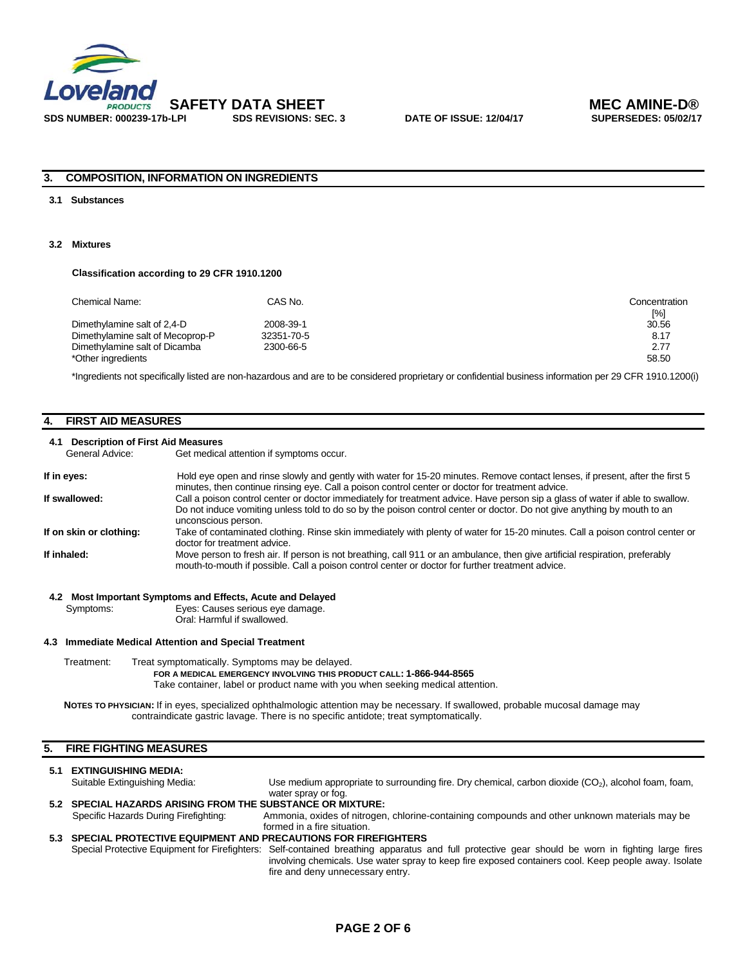

#### **3. COMPOSITION, INFORMATION ON INGREDIENTS**

#### **3.1 Substances**

#### **3.2 Mixtures**

#### **Classification according to 29 CFR 1910.1200**

| Chemical Name:                   | CAS No.    | Concentration<br>[%] |
|----------------------------------|------------|----------------------|
| Dimethylamine salt of 2,4-D      | 2008-39-1  | 30.56                |
| Dimethylamine salt of Mecoprop-P | 32351-70-5 | 8.17                 |
| Dimethylamine salt of Dicamba    | 2300-66-5  | 2.77                 |
| *Other ingredients               |            | 58.50                |

\*Ingredients not specifically listed are non-hazardous and are to be considered proprietary or confidential business information per 29 CFR 1910.1200(i)

#### **4. FIRST AID MEASURES**

#### **4.1 Description of First Aid Measures**

General Advice: Get medical attention if symptoms occur.

| If in eyes:             | Hold eye open and rinse slowly and gently with water for 15-20 minutes. Remove contact lenses, if present, after the first 5                                                                                                      |
|-------------------------|-----------------------------------------------------------------------------------------------------------------------------------------------------------------------------------------------------------------------------------|
| If swallowed:           | minutes, then continue rinsing eye. Call a poison control center or doctor for treatment advice.<br>Call a poison control center or doctor immediately for treatment advice. Have person sip a glass of water if able to swallow. |
|                         | Do not induce vomiting unless told to do so by the poison control center or doctor. Do not give anything by mouth to an<br>unconscious person.                                                                                    |
| If on skin or clothing: | Take of contaminated clothing. Rinse skin immediately with plenty of water for 15-20 minutes. Call a poison control center or<br>doctor for treatment advice.                                                                     |
| If inhaled:             | Move person to fresh air. If person is not breathing, call 911 or an ambulance, then give artificial respiration, preferably<br>mouth-to-mouth if possible. Call a poison control center or doctor for further treatment advice.  |
|                         |                                                                                                                                                                                                                                   |

#### **4.2 Most Important Symptoms and Effects, Acute and Delayed**

Symptoms: Eyes: Causes serious eye damage. Oral: Harmful if swallowed.

#### **4.3 Immediate Medical Attention and Special Treatment**

Treatment: Treat symptomatically. Symptoms may be delayed.  **FOR A MEDICAL EMERGENCY INVOLVING THIS PRODUCT CALL: 1-866-944-8565**  Take container, label or product name with you when seeking medical attention.

**NOTES TO PHYSICIAN:** If in eyes, specialized ophthalmologic attention may be necessary. If swallowed, probable mucosal damage may contraindicate gastric lavage. There is no specific antidote; treat symptomatically.

#### **5. FIRE FIGHTING MEASURES**

## **5.1 EXTINGUISHING MEDIA:**<br>Suitable Extinguishing Media:

Use medium appropriate to surrounding fire. Dry chemical, carbon dioxide (CO<sub>2</sub>), alcohol foam, foam, water spray or fog.

- **5.2 SPECIAL HAZARDS ARISING FROM THE SUBSTANCE OR MIXTURE:**<br>Specific Hazards During Firefighting: Ammonia, oxides of nitroger Ammonia, oxides of nitrogen, chlorine-containing compounds and other unknown materials may be formed in a fire situation. **5.3 SPECIAL PROTECTIVE EQUIPMENT AND PRECAUTIONS FOR FIREFIGHTERS** 
	- Special Protective Equipment for Firefighters: Self-contained breathing apparatus and full protective gear should be worn in fighting large fires involving chemicals. Use water spray to keep fire exposed containers cool. Keep people away. Isolate fire and deny unnecessary entry.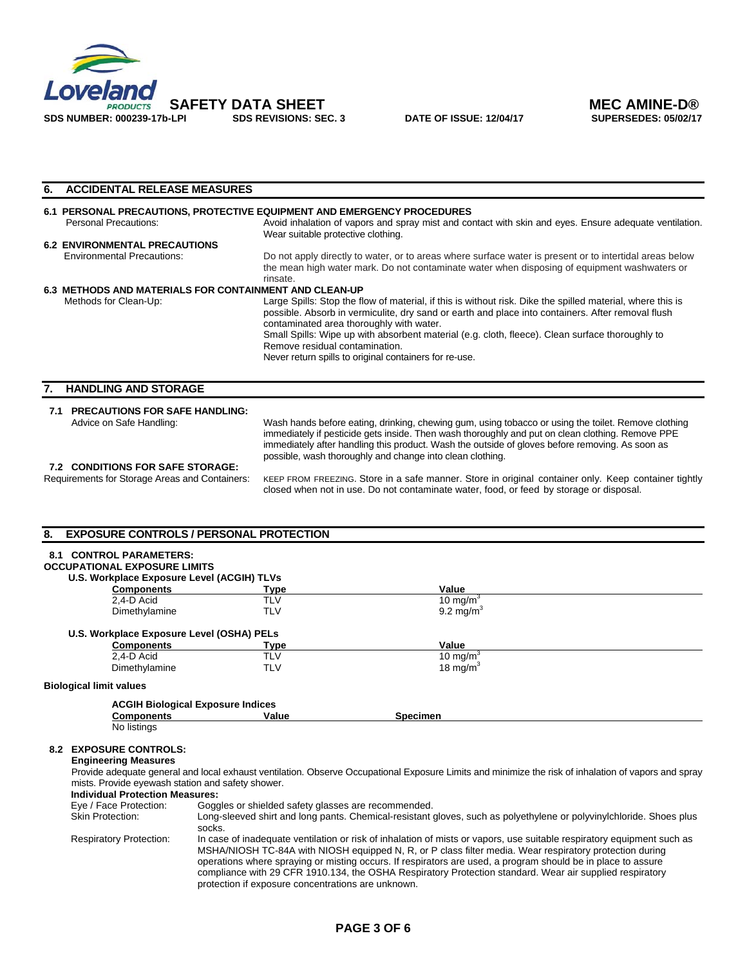

| <b>ACCIDENTAL RELEASE MEASURES</b><br>6.                                                  |                                                                                                                                                                                                                                                                                                                                                                         |  |  |  |  |
|-------------------------------------------------------------------------------------------|-------------------------------------------------------------------------------------------------------------------------------------------------------------------------------------------------------------------------------------------------------------------------------------------------------------------------------------------------------------------------|--|--|--|--|
|                                                                                           | 6.1 PERSONAL PRECAUTIONS, PROTECTIVE EQUIPMENT AND EMERGENCY PROCEDURES                                                                                                                                                                                                                                                                                                 |  |  |  |  |
| Personal Precautions:                                                                     | Avoid inhalation of vapors and spray mist and contact with skin and eyes. Ensure adequate ventilation.<br>Wear suitable protective clothing.                                                                                                                                                                                                                            |  |  |  |  |
| <b>6.2 ENVIRONMENTAL PRECAUTIONS</b>                                                      |                                                                                                                                                                                                                                                                                                                                                                         |  |  |  |  |
| <b>Environmental Precautions:</b>                                                         | Do not apply directly to water, or to areas where surface water is present or to intertidal areas below<br>the mean high water mark. Do not contaminate water when disposing of equipment washwaters or<br>rinsate.                                                                                                                                                     |  |  |  |  |
| 6.3 METHODS AND MATERIALS FOR CONTAINMENT AND CLEAN-UP                                    |                                                                                                                                                                                                                                                                                                                                                                         |  |  |  |  |
| Methods for Clean-Up:                                                                     | Large Spills: Stop the flow of material, if this is without risk. Dike the spilled material, where this is<br>possible. Absorb in vermiculite, dry sand or earth and place into containers. After removal flush<br>contaminated area thoroughly with water.<br>Small Spills: Wipe up with absorbent material (e.g. cloth, fleece). Clean surface thoroughly to          |  |  |  |  |
|                                                                                           | Remove residual contamination.<br>Never return spills to original containers for re-use.                                                                                                                                                                                                                                                                                |  |  |  |  |
| <b>HANDLING AND STORAGE</b><br>7.                                                         |                                                                                                                                                                                                                                                                                                                                                                         |  |  |  |  |
| 7.1 PRECAUTIONS FOR SAFE HANDLING:                                                        |                                                                                                                                                                                                                                                                                                                                                                         |  |  |  |  |
| Advice on Safe Handling:                                                                  | Wash hands before eating, drinking, chewing gum, using tobacco or using the toilet. Remove clothing<br>immediately if pesticide gets inside. Then wash thoroughly and put on clean clothing. Remove PPE<br>immediately after handling this product. Wash the outside of gloves before removing. As soon as<br>possible, wash thoroughly and change into clean clothing. |  |  |  |  |
| <b>7.2 CONDITIONS FOR SAFE STORAGE:</b><br>Requirements for Storage Areas and Containers: | KEEP FROM FREEZING. Store in a safe manner. Store in original container only. Keep container tightly<br>closed when not in use. Do not contaminate water, food, or feed by storage or disposal.                                                                                                                                                                         |  |  |  |  |

| <b>EXPOSURE CONTROLS / PERSONAL PROTECTION</b><br>8.<br><b>CONTROL PARAMETERS:</b><br>8.1 |            |                      |  |
|-------------------------------------------------------------------------------------------|------------|----------------------|--|
| <b>OCCUPATIONAL EXPOSURE LIMITS</b>                                                       |            |                      |  |
| U.S. Workplace Exposure Level (ACGIH) TLVs                                                |            |                      |  |
| <b>Components</b>                                                                         | Type       | Value                |  |
| 2.4-D Acid                                                                                | <b>TLV</b> | 10 mg/m <sup>3</sup> |  |
| Dimethylamine                                                                             | <b>TLV</b> | $9.2 \text{ mg/m}^3$ |  |
| U.S. Workplace Exposure Level (OSHA) PELs                                                 |            |                      |  |
| <b>Components</b>                                                                         | Tvpe       | Value                |  |
| 2.4-D Acid                                                                                | <b>TLV</b> | 10 mg/m <sup>3</sup> |  |
| Dimethylamine                                                                             | <b>TLV</b> | 18 mg/m $3$          |  |
| <b>Biological limit values</b>                                                            |            |                      |  |
| <b>ACGIH Biological Exposure Indices</b>                                                  |            |                      |  |
| <b>Components</b>                                                                         | Value      | <b>Specimen</b>      |  |
| No listings                                                                               |            |                      |  |

### **8.2 EXPOSURE CONTROLS:**

### **Engineering Measures**

Provide adequate general and local exhaust ventilation. Observe Occupational Exposure Limits and minimize the risk of inhalation of vapors and spray mists. Provide eyewash station and safety shower.

| <b>Individual Protection Measures:</b> |                                                                                                                                                                                                                                                                                                                                                                                                                                                                                                                     |  |
|----------------------------------------|---------------------------------------------------------------------------------------------------------------------------------------------------------------------------------------------------------------------------------------------------------------------------------------------------------------------------------------------------------------------------------------------------------------------------------------------------------------------------------------------------------------------|--|
| Eye / Face Protection:                 | Goggles or shielded safety glasses are recommended.                                                                                                                                                                                                                                                                                                                                                                                                                                                                 |  |
| <b>Skin Protection:</b>                | Long-sleeved shirt and long pants. Chemical-resistant gloves, such as polyethylene or polyvinylchloride. Shoes plus<br>socks.                                                                                                                                                                                                                                                                                                                                                                                       |  |
| <b>Respiratory Protection:</b>         | In case of inadequate ventilation or risk of inhalation of mists or vapors, use suitable respiratory equipment such as<br>MSHA/NIOSH TC-84A with NIOSH equipped N, R, or P class filter media. Wear respiratory protection during<br>operations where spraying or misting occurs. If respirators are used, a program should be in place to assure<br>compliance with 29 CFR 1910.134, the OSHA Respiratory Protection standard. Wear air supplied respiratory<br>protection if exposure concentrations are unknown. |  |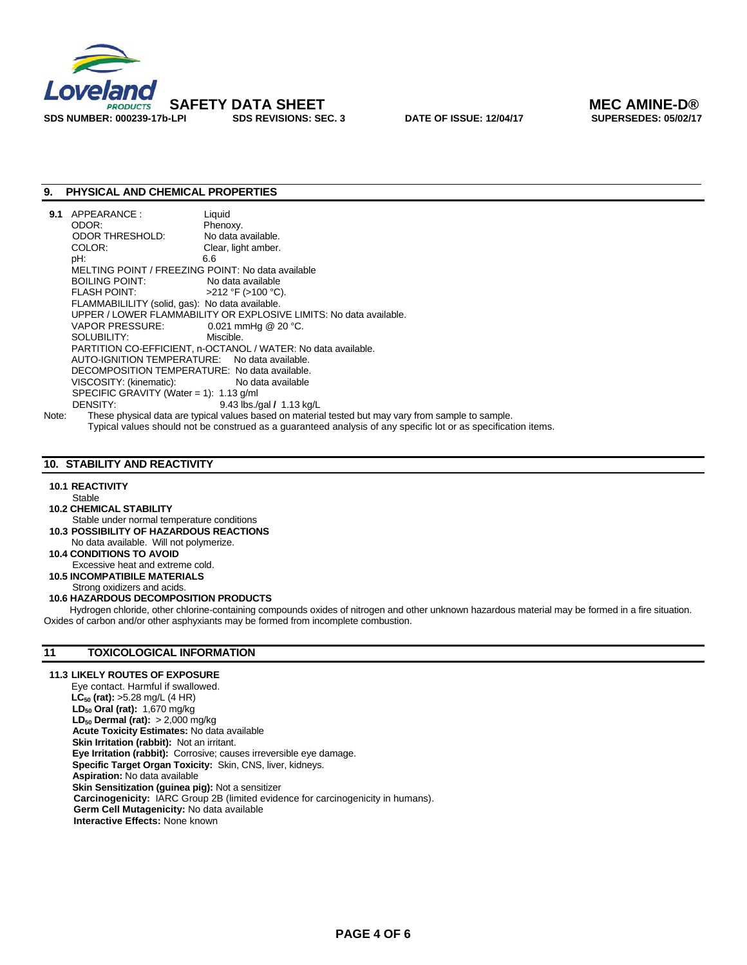

### **9. PHYSICAL AND CHEMICAL PROPERTIES**

| 9.1                                                                | APPEARANCE:                                       | Liquid                                                                                              |
|--------------------------------------------------------------------|---------------------------------------------------|-----------------------------------------------------------------------------------------------------|
|                                                                    | ODOR:                                             | Phenoxy.                                                                                            |
|                                                                    | ODOR THRESHOLD:                                   | No data available.                                                                                  |
|                                                                    | COLOR:                                            | Clear, light amber.                                                                                 |
|                                                                    | pH:                                               | 6.6                                                                                                 |
|                                                                    | MELTING POINT / FREEZING POINT: No data available |                                                                                                     |
|                                                                    | BOILING POINT:                                    | No data available                                                                                   |
|                                                                    | FLASH POINT: $>212 \degree$ F (>100 °C).          |                                                                                                     |
|                                                                    | FLAMMABILILITY (solid, gas): No data available.   |                                                                                                     |
| UPPER / LOWER FLAMMABILITY OR EXPLOSIVE LIMITS: No data available. |                                                   |                                                                                                     |
|                                                                    | VAPOR PRESSURE: $0.021$ mmHg @ 20 °C.             |                                                                                                     |
|                                                                    | SOLUBILITY: SOLUBILITY:                           | Miscible.                                                                                           |
|                                                                    |                                                   | PARTITION CO-EFFICIENT, n-OCTANOL / WATER: No data available.                                       |
|                                                                    | AUTO-IGNITION TEMPERATURE: No data available.     |                                                                                                     |
| DECOMPOSITION TEMPERATURE: No data available.                      |                                                   |                                                                                                     |
|                                                                    | VISCOSITY: (kinematic): No data available         |                                                                                                     |
| SPECIFIC GRAVITY (Water = 1): $1.13$ g/ml                          |                                                   |                                                                                                     |
|                                                                    | DENSITY:                                          | 9.43 lbs./qal $/$ 1.13 kg/L                                                                         |
| Note:                                                              |                                                   | These physical data are typical values based on material tested but may vary from sample to sample. |

Typical values should not be construed as a guaranteed analysis of any specific lot or as specification items.

### **10. STABILITY AND REACTIVITY**

#### **10.1 REACTIVITY**

Stable

- **10.2 CHEMICAL STABILITY**
- Stable under normal temperature conditions **10.3 POSSIBILITY OF HAZARDOUS REACTIONS**
- No data available. Will not polymerize.
- **10.4 CONDITIONS TO AVOID**
- Excessive heat and extreme cold.
- **10.5 INCOMPATIBILE MATERIALS**

Strong oxidizers and acids.

#### **10.6 HAZARDOUS DECOMPOSITION PRODUCTS**

 Hydrogen chloride, other chlorine-containing compounds oxides of nitrogen and other unknown hazardous material may be formed in a fire situation. Oxides of carbon and/or other asphyxiants may be formed from incomplete combustion.

#### **11 TOXICOLOGICAL INFORMATION**

#### **11.3 LIKELY ROUTES OF EXPOSURE**

Eye contact. Harmful if swallowed. **LC<sub>50</sub>** (rat): >5.28 mg/L (4 HR)  **LD50 Oral (rat):** 1,670 mg/kg **LD<sub>50</sub> Dermal (rat):** > 2,000 mg/kg **Acute Toxicity Estimates:** No data available **Skin Irritation (rabbit):** Not an irritant.  **Eye Irritation (rabbit):** Corrosive; causes irreversible eye damage.  **Specific Target Organ Toxicity:** Skin, CNS, liver, kidneys. **Aspiration:** No data available **Skin Sensitization (guinea pig):** Not a sensitizer  **Carcinogenicity:** IARC Group 2B (limited evidence for carcinogenicity in humans). **Germ Cell Mutagenicity:** No data available **Interactive Effects:** None known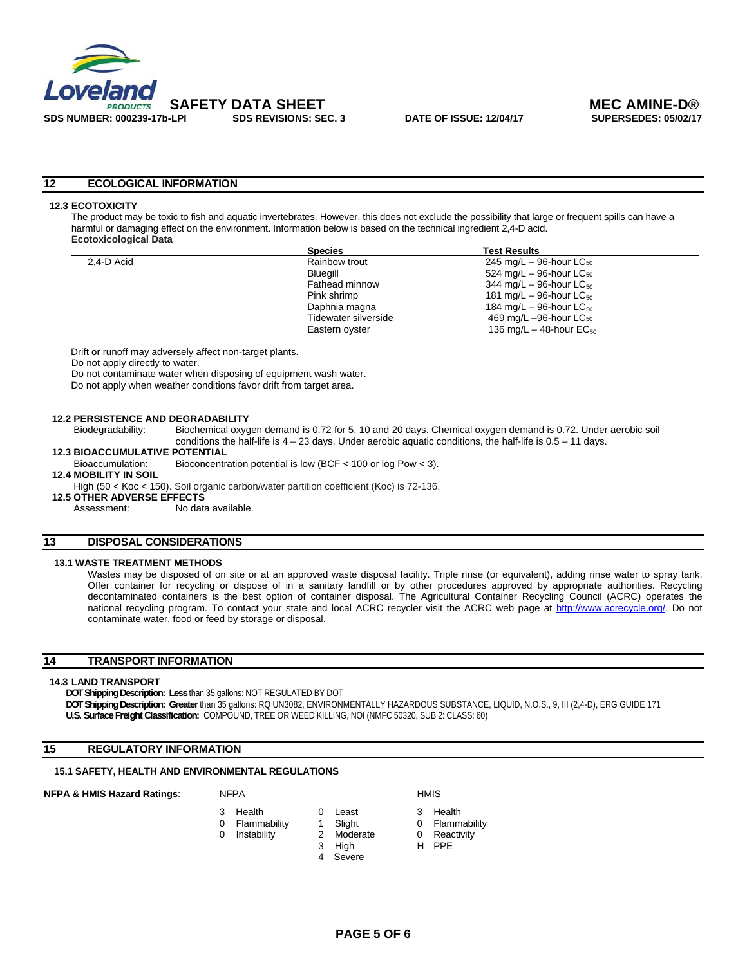

#### **12 ECOLOGICAL INFORMATION**

#### **12.3 ECOTOXICITY**

The product may be toxic to fish and aquatic invertebrates. However, this does not exclude the possibility that large or frequent spills can have a harmful or damaging effect on the environment. Information below is based on the technical ingredient 2,4-D acid. **Ecotoxicological Data** 

|            | <b>Species</b>       | <b>Test Results</b>                   |  |
|------------|----------------------|---------------------------------------|--|
| 2.4-D Acid | Rainbow trout        | 245 mg/L $-$ 96-hour LC $_{50}$       |  |
|            | Bluegill             | 524 mg/L $-$ 96-hour LC $_{50}$       |  |
|            | Fathead minnow       | 344 mg/L $-$ 96-hour LC $_{50}$       |  |
|            | Pink shrimp          | 181 mg/L $-$ 96-hour LC $_{50}$       |  |
|            | Daphnia magna        | 184 mg/L $-$ 96-hour LC <sub>50</sub> |  |
|            | Tidewater silverside | 469 mg/L -96-hour LC <sub>50</sub>    |  |
|            | Eastern oyster       | 136 mg/L $-$ 48-hour EC $_{50}$       |  |
|            |                      |                                       |  |

Drift or runoff may adversely affect non-target plants.

Do not apply directly to water.

Do not contaminate water when disposing of equipment wash water.

Do not apply when weather conditions favor drift from target area.

#### **12.2 PERSISTENCE AND DEGRADABILITY**

Biodegradability: Biochemical oxygen demand is 0.72 for 5, 10 and 20 days. Chemical oxygen demand is 0.72. Under aerobic soil conditions the half-life is  $4 - 23$  days. Under aerobic aquatic conditions, the half-life is  $0.5 - 11$  days.

## **12.3 BIOACCUMULATIVE POTENTIAL**<br>Bioaccumulation: Bioconcentr

- Bioconcentration potential is low (BCF  $<$  100 or log Pow  $<$  3).
- **12.4 MOBILITY IN SOIL**

High (50 < Koc < 150). Soil organic carbon/water partition coefficient (Koc) is 72-136.

**12.5 OTHER ADVERSE EFFECTS**<br>Assessment: No data

No data available.

#### **13 DISPOSAL CONSIDERATIONS**

#### **13.1 WASTE TREATMENT METHODS**

Wastes may be disposed of on site or at an approved waste disposal facility. Triple rinse (or equivalent), adding rinse water to spray tank. Offer container for recycling or dispose of in a sanitary landfill or by other procedures approved by appropriate authorities. Recycling decontaminated containers is the best option of container disposal. The Agricultural Container Recycling Council (ACRC) operates the national recycling program. To contact your state and local ACRC recycler visit the ACRC web page at http://www.acrecycle.org/. Do not contaminate water, food or feed by storage or disposal.

#### **14 TRANSPORT INFORMATION**

#### **14.3 LAND TRANSPORT**

**DOT Shipping Description: Less** than 35 gallons: NOT REGULATED BY DOT

- **DOT Shipping Description: Greater** than 35 gallons: RQ UN3082, ENVIRONMENTALLY HAZARDOUS SUBSTANCE, LIQUID, N.O.S., 9, III (2,4-D), ERG GUIDE 171
- **U.S. Surface Freight Classification:** COMPOUND, TREE OR WEED KILLING, NOI (NMFC 50320, SUB 2: CLASS: 60)

### **15 REGULATORY INFORMATION**

#### **15.1 SAFETY, HEALTH AND ENVIRONMENTAL REGULATIONS**

#### **NFPA & HMIS Hazard Ratings:** NFPA **HMIS** HMIS

- 3 Health 0 Least 3 Health 0 Flammability 1 Slight 0 Flammability
	-
- 0 Instability 2 Moderate 0 Reactivity<br>3 High H PPE
	- 4 Severe
- 
- 
- 
- 3 High H PPE